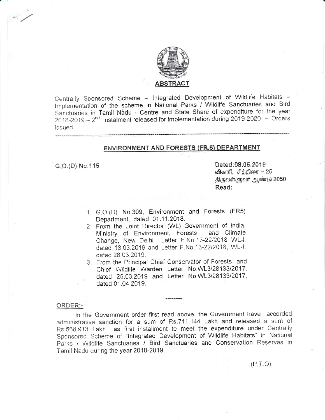

Centrally Sponsored Scheme - Integrated Development of Wildlife Habitats -Implementation of the scheme in National Parks / Wildlife Sanctuaries and Bird Sanctuaries in Tamil Nadu - Centre and State Share of expenditure for the year  $2018-2019-2^{nd}$  instalment released for implementation during 2019-2020 - Orders issued.

# **ENVIRONMENT AND FORESTS (FR.5) DEPARTMENT**

G.O.(D) No.115

Dated:08.05.2019 விகாரி, சித்திரை – 25 திருவள்ளுவர் ஆண்டு 2050 Read:

- 1. G.O.(D) No.309, Environment and Forests (FR5) Department, dated 01.11.2018.
- 2. From the Joint Director (WL) Government of India, Ministry of Environment, Forests and Climate Change. New Delhi Letter F.No.13-22/2018 WL-I, dated 18.03.2019 and Letter F.No.13-22/2018, WL-I, dated 28.03.2019.
- 3. From the Principal Chief Conservator of Forests and Chief Wildlife Warden Letter No.WL3/28133/2017, dated 25.03.2019 and Letter No.WL3/28133/2017, dated 01.04.2019.

#### ORDER:-

In the Government order first read above, the Government have accorded administrative sanction for a sum of Rs.711.144 Lakh and released a sum of Rs.568.913 Lakh as first installment to meet the expenditure under Centrally Sponsored Scheme of "Integrated Development of Wildlife Habitats" in National Parks / Wildlife Sanctuaries / Bird Sanctuaries and Conservation Reserves in Tamil Nadu during the year 2018-2019.

 $(P.T.O)$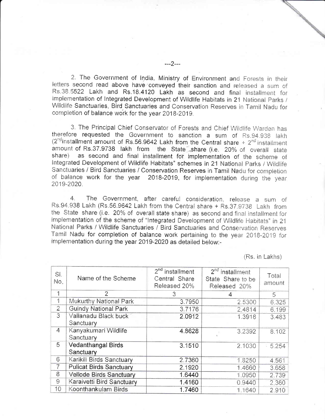2. The Government of India, Ministry of Environment and Forests in their letters second read above have conveyed their sanction and released a sum of Rs.38.5522 Lakh and Rs.18.4120 Lakh as second and final installment for implementation of Integrated Development of Wildlife Habitats in 21 National Parks / Wildlife Sanctuaries, Bird Sanctuaries and Conservation Reserves in Tamil Nadu for completion of balance work for the year 2018-2019.

3. The Principal Chief Conservator of Forests and Chief Wildlife Warden has therefore requested the Government to sanction a sum of Rs.94.938 lakh  $(2^{nd}$ installment amount of Rs.56.9642 Lakh from the Central share +  $2^{nd}$  installment amount of Rs.37.9738 lakh from the State share (i.e. 20% of overall state share) as second and final installment for implementation of the scheme of Integrated Development of Wildlife Habitats" schemes in 21 National Parks / Wildlife Sanctuaries / Bird Sanctuaries / Conservation Reserves in Tamil Nadu for completion of balance work for the year 2018-2019, for implementation during the year 2019-2020.

The Government, after careful consideration, release a sum of Ba Rs.94.938 Lakh (Rs.56.9642 Lakh from the Central share + Rs.37.9738 Lakh from the State share (i.e. 20% of overall state share) as second and final installment for implementation of the scheme of "Integrated Development of Wildlife Habitats" in 21 National Parks / Wildlife Sanctuaries / Bird Sanctuaries and Conservation Reserves Tamil Nadu for completion of balance work pertaining to the year 2018-2019 for implementation during the year 2019-2020 as detailed below:-

(Rs. in Lakhs)

| SI.<br>No.     | Name of the Scheme                     | $2nd$ installment<br>Central Share<br>Released 20% | 2 <sup>nd</sup> installment<br>State Share to be<br>Released 20% | Total<br>amount |
|----------------|----------------------------------------|----------------------------------------------------|------------------------------------------------------------------|-----------------|
| $\star$        | $\overline{2}$                         | 3                                                  | 4                                                                | 5               |
| $\sim$         | Mukurthy National Park                 | 3.7950                                             | 2.5300                                                           | 6.325           |
| $\overline{2}$ | <b>Guindy National Park</b>            | 3.7176                                             | 2.4814                                                           | 6.199           |
| $\overline{3}$ | Vallanadu Black buck<br>Sanctuary      | 2.0912                                             | 1.3918                                                           | 3.483           |
| 4              | Kanyakumari Wildlife<br>Sanctuary      | 4.8628                                             | 3.2392                                                           | 8.102           |
| 5              | <b>Vedanthangal Birds</b><br>Sanctuary | 3.1510                                             | 2.1030                                                           | 5.254           |
| 6              | Karikili Birds Sanctuary               | 2.7360                                             | 1.8250                                                           | 4.561           |
| 7              | <b>Pulicat Birds Sanctuary</b>         | 2.1920                                             | 1.4660                                                           | 3.658           |
| 8              | Vellode Birds Sanctuary                | 1.6440                                             | 1.0950                                                           | 2.739           |
| 9              | Karaivetti Bird Sanctuary              | 1.4160                                             | 0.9440                                                           | 2.360           |
| 10             | Koonthankulam Birds                    | 1.7460                                             | 1.1640                                                           | 2.910           |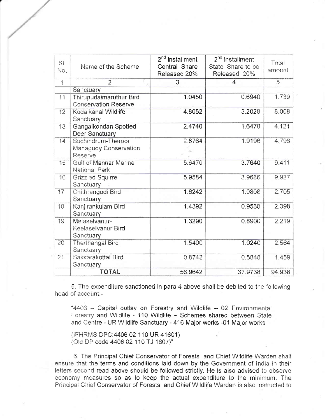| SI.<br>No.               | Name of the Scheme                                            | $2nd$ installment<br>Central Share<br>Released 20% | $2nd$ installment<br>State Share to be<br>Released 20% | Total<br>amount |
|--------------------------|---------------------------------------------------------------|----------------------------------------------------|--------------------------------------------------------|-----------------|
| $\overline{\phantom{a}}$ | $\overline{2}$                                                | $\overline{3}$                                     | 4                                                      | 5               |
|                          | Sanctuary                                                     |                                                    |                                                        |                 |
| 11                       | <b>Thirupudaimaruthur Bird</b><br><b>Conservation Reserve</b> | 1.0450                                             | 0.6940                                                 | 1.739           |
| 12                       | Kodaikanal Wildlife<br>Sanctuary                              | 4.8052                                             | 3.2028                                                 | 8.008           |
| 13                       | Gangaikondan Spotted<br><b>Deer Sanctuary</b>                 | 2.4740                                             | 1.6470                                                 | 4.121           |
| 14                       | Suchindrum-Theroor<br>Managudy Conservation<br>Reserve        | 2.8764                                             | 1.9196                                                 | 4.796           |
| 15                       | <b>Gulf of Mannar Marine</b><br>National Park                 | 5.6470                                             | 3.7640                                                 | 9.411           |
| 16                       | <b>Grizzled Squirrel</b><br>Sanctuary                         | 5.9584                                             | 3.9686                                                 | 9.927           |
| 17                       | Chithrangudi Bird<br>Sanctuary                                | 1.6242                                             | 1.0808                                                 | 2.705           |
| 18                       | Kanjirankulam Bird<br>Sanctuary                               | 1.4392                                             | 0.9588                                                 | 2.398           |
| 19                       | Melaselvanur-<br>Keelaselvanur Bird<br>Sanctuary              | 1.3290                                             | 0.8900                                                 | 2.219           |
| 20                       | <b>Therthangal Bird</b><br>Sanctuary                          | 1.5400                                             | 1.0240                                                 | 2.564           |
| 21                       | Sakkarakottai Bird<br><b>Sanctuary</b>                        | 0.8742                                             | 0.5848                                                 | 1.459           |
|                          | <b>TOTAL</b>                                                  | 56.9642                                            | 37.9738                                                | 94.938          |

5. The expenditure sanctioned in para 4 above shall be debited to the following head of account:-

"4406 - Capital outlay on Forestry and Wildlife - 02 Environmental Forestry and Wildlife - 110 Wildlife - Schemes shared between State and Centre - UR Wildlife Sanctuary - 416 Major works -01 Major works

(IFHRMS DPC:4406 02 110 UR 41601) (Old DP code 4406 02 110 TJ 1607)"

6. The Principal Chief Conservator of Forests and Chief Wildlife Warden shall ensure that the terms and conditions laid down by the Government of India in their letters second read above should be followed strictly. He is also advised to observe economy measures so as to keep the actual expenditure to the minimum. The Principal Chief Conservator of Forests and Chief Wildlife Warden is also instructed to